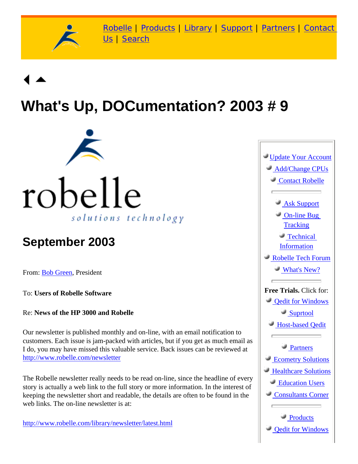

[Robelle](http://www.robelle.com/) | [Products](http://www.robelle.com/products/) | [Library](http://www.robelle.com/library/) | [Support](http://www.robelle.com/support/) | [Partners](http://www.robelle.com/partners/) | [Contact](http://www.robelle.com/contactus.html) [Us](http://www.robelle.com/contactus.html) | [Search](http://www.robelle.com/AT-search.html)

# **What's Up, DOCumentation? 2003 # 9**



# **September 2003**

From: [Bob Green,](http://www.robelle.com/robelle.html#bob) President

To: **Users of Robelle Software**

Re: **News of the HP 3000 and Robelle**

Our newsletter is published monthly and on-line, with an email notification to customers. Each issue is jam-packed with articles, but if you get as much email as I do, you may have missed this valuable service. Back issues can be reviewed at <http://www.robelle.com/newsletter>

The Robelle newsletter really needs to be read on-line, since the headline of every story is actually a web link to the full story or more information. In the interest of keeping the newsletter short and readable, the details are often to be found in the web links. The on-line newsletter is at:

[http://www.robelle.com/library/newsletter/latest.html](http://www.robelle.com/newsletter/latest.html)

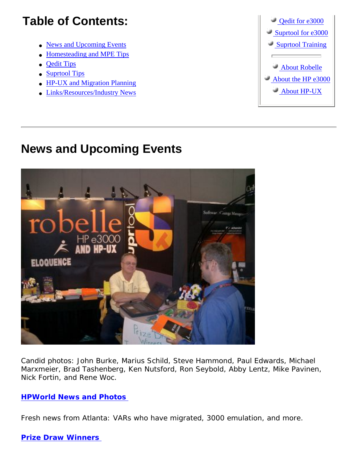# **Table of Contents:**

- [News and Upcoming Events](#page-1-0)
- [Homesteading and MPE Tips](#page-2-0)
- [Qedit Tips](#page-3-0)
- [Suprtool Tips](#page-3-1)
- [HP-UX and Migration Planning](#page-3-2)
- [Links/Resources/Industry News](#page-4-0)



### <span id="page-1-0"></span>**News and Upcoming Events**



Candid photos: John Burke, Marius Schild, Steve Hammond, Paul Edwards, Michael Marxmeier, Brad Tashenberg, Ken Nutsford, Ron Seybold, Abby Lentz, Mike Pavinen, Nick Fortin, and Rene Woc.

#### **[HPWorld News and Photos](http://robelle.com/hpworld/2003/)**

Fresh news from Atlanta: VARs who have migrated, 3000 emulation, and more.

#### **[Prize Draw Winners](http://robelle.com/hpworld/2003/welcome.html#winners)**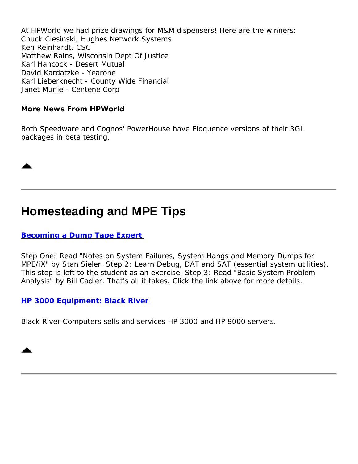At HPWorld we had prize drawings for M&M dispensers! Here are the winners: Chuck Ciesinski, Hughes Network Systems Ken Reinhardt, CSC Matthew Rains, Wisconsin Dept Of Justice Karl Hancock - Desert Mutual David Kardatzke - Yearone Karl Lieberknecht - County Wide Financial Janet Munie - Centene Corp

#### **More News From HPWorld**

Both Speedware and Cognos' PowerHouse have Eloquence versions of their 3GL packages in beta testing.

### <span id="page-2-0"></span>**Homesteading and MPE Tips**

#### **[Becoming a Dump Tape Expert](http://robelle.com/tips/mpe.html#dumptape)**

Step One: Read "Notes on System Failures, System Hangs and Memory Dumps for MPE/iX" by Stan Sieler. Step 2: Learn Debug, DAT and SAT (essential system utilities). This step is left to the student as an exercise. Step 3: Read "Basic System Problem Analysis" by Bill Cadier. That's all it takes. Click the link above for more details.

#### **[HP 3000 Equipment: Black River](http://www.blackriver.com/)**

Black River Computers sells and services HP 3000 and HP 9000 servers.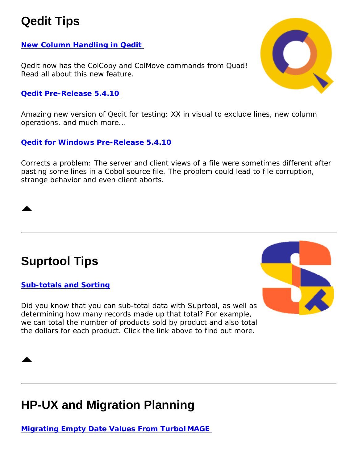# <span id="page-3-0"></span>**Qedit Tips**

### **[New Column Handling in Qedit](http://www.robelle.com/tips/qedit.html#colcopy)**

Qedit now has the ColCopy and ColMove commands from Quad! Read all about this new feature.

#### **[Qedit Pre-Release 5.4.10](http://www.robelle.com/products/qedit/prerelease.html)**

Amazing new version of Qedit for testing: XX in visual to exclude lines, new column operations, and much more...

**[Qedit for Windows Pre-Release 5.4.10](http://www.robelle.com/products/qwin/5.4/5.4.10/)**

Corrects a problem: The server and client views of a file were sometimes different after pasting some lines in a Cobol source file. The problem could lead to file corruption, strange behavior and even client aborts.

# <span id="page-3-1"></span>**Suprtool Tips**

#### **[Sub-totals and Sorting](http://www.robelle.com/support/suprtool/subtotals.html)**

Did you know that you can sub-total data with Suprtool, as well as determining how many records made up that total? For example, we can total the number of products sold by product and also total the dollars for each product. Click the link above to find out more.

# <span id="page-3-2"></span>**HP-UX and Migration Planning**

**[Migrating Empty Date Values From TurboIMAGE](http://www.robelle.com/tips/nulldate.html)** 



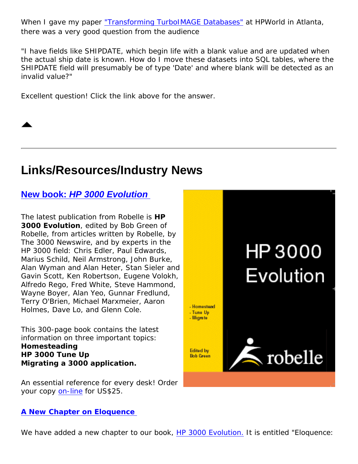When I gave my paper <u>["Transforming TurboIMAGE Databases"](http://www.robelle.com/library/papers/transform.pdf)</u> at HPWorld in Atlanta, there was a very good question from the audience

*"I have fields like SHIPDATE, which begin life with a blank value and are updated when the actual ship date is known. How do I move these datasets into SQL tables, where the SHIPDATE field will presumably be of type 'Date' and where blank will be detected as an invalid value?"*

Excellent question! Click the link above for the answer.



# <span id="page-4-0"></span>**Links/Resources/Industry News**

**New book:** *[HP 3000 Evolution](http://www.robelle.com/books/)*

The latest publication from Robelle is *HP 3000 Evolution*, edited by Bob Green of Robelle, from articles written by Robelle, by *The 3000 Newswire*, and by experts in the HP 3000 field: Chris Edler, Paul Edwards, Marius Schild, Neil Armstrong, John Burke, Alan Wyman and Alan Heter, Stan Sieler and Gavin Scott, Ken Robertson, Eugene Volokh, Alfredo Rego, Fred White, Steve Hammond, Wayne Boyer, Alan Yeo, Gunnar Fredlund, Terry O'Brien, Michael Marxmeier, Aaron Holmes, Dave Lo, and Glenn Cole.

This 300-page book contains the latest information on three important topics: **Homesteading HP 3000 Tune Up Migrating a 3000 application.**

An essential reference for every desk! Order your copy [on-line](http://www2.ondemandmanuals.com/robelle) for US\$25.

#### **[A New Chapter on Eloquence](http://www.robelle.com/books/marxmeier.pdf)**

We have added a new chapter to our book, *HP 3000 Evolution*. It is entitled "Eloquence: